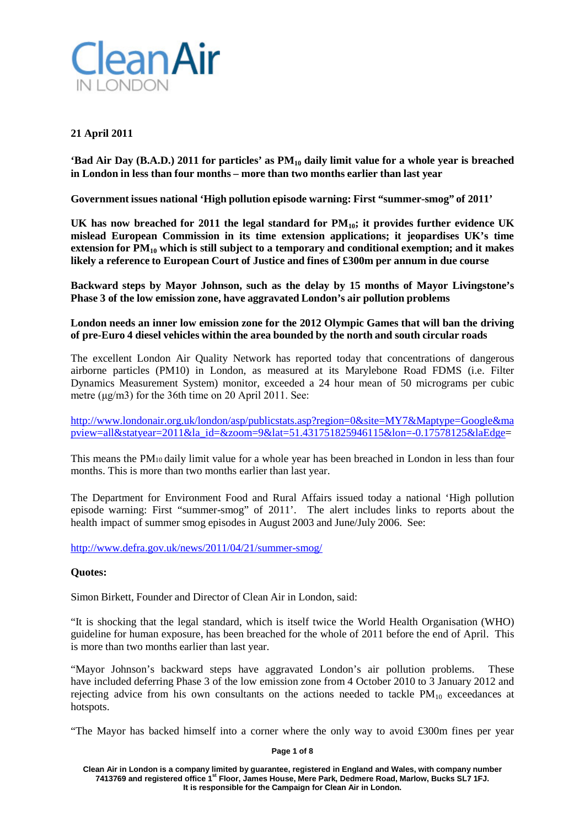

# **21 April 2011**

**'Bad Air Day (B.A.D.) 2011 for particles' as PM10 daily limit value for a whole year is breached in London in less than four months – more than two months earlier than last year**

**Government issues national 'High pollution episode warning: First "summer-smog" of 2011'**

**UK has now breached for 2011 the legal standard for PM10; it provides further evidence UK mislead European Commission in its time extension applications; it jeopardises UK's time extension for PM10 which is still subject to a temporary and conditional exemption; and it makes likely a reference to European Court of Justice and fines of £300m per annum in due course**

**Backward steps by Mayor Johnson, such as the delay by 15 months of Mayor Livingstone's Phase 3 of the low emission zone, have aggravated London's air pollution problems**

## **London needs an inner low emission zone for the 2012 Olympic Games that will ban the driving of pre-Euro 4 diesel vehicles within the area bounded by the north and south circular roads**

The excellent London Air Quality Network has reported today that concentrations of dangerous airborne particles (PM10) in London, as measured at its Marylebone Road FDMS (i.e. Filter Dynamics Measurement System) monitor, exceeded a 24 hour mean of 50 micrograms per cubic metre (μg/m3) for the 36th time on 20 April 2011. See:

[http://www.londonair.org.uk/london/asp/publicstats.asp?region=0&site=MY7&Maptype=Google&ma](http://www.londonair.org.uk/london/asp/publicstats.asp?region=0&site=MY7&Maptype=Google&mapview=all&statyear=2011&la_id=&zoom=9&lat=51.431751825946115&lon=-0.17578125&laEdge) [pview=all&statyear=2011&la\\_id=&zoom=9&lat=51.431751825946115&lon=-0.17578125&laEdge=](http://www.londonair.org.uk/london/asp/publicstats.asp?region=0&site=MY7&Maptype=Google&mapview=all&statyear=2011&la_id=&zoom=9&lat=51.431751825946115&lon=-0.17578125&laEdge)

This means the PM10 daily limit value for a whole year has been breached in London in less than four months. This is more than two months earlier than last year.

The Department for Environment Food and Rural Affairs issued today a national 'High pollution episode warning: First "summer-smog" of 2011'. The alert includes links to reports about the health impact of summer smog episodes in August 2003 and June/July 2006. See:

<http://www.defra.gov.uk/news/2011/04/21/summer-smog/>

## **Quotes:**

Simon Birkett, Founder and Director of Clean Air in London, said:

"It is shocking that the legal standard, which is itself twice the World Health Organisation (WHO) guideline for human exposure, has been breached for the whole of 2011 before the end of April. This is more than two months earlier than last year.

"Mayor Johnson's backward steps have aggravated London's air pollution problems. These have included deferring Phase 3 of the low emission zone from 4 October 2010 to 3 January 2012 and rejecting advice from his own consultants on the actions needed to tackle  $PM_{10}$  exceedances at hotspots.

"The Mayor has backed himself into a corner where the only way to avoid £300m fines per year

**Page 1 of 8**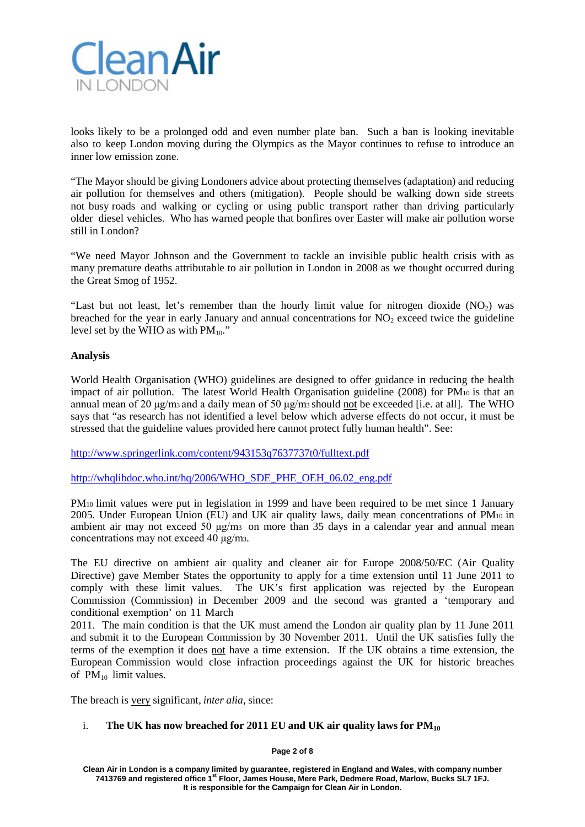

looks likely to be a prolonged odd and even number plate ban. Such a ban is looking inevitable also to keep London moving during the Olympics as the Mayor continues to refuse to introduce an inner low emission zone.

"The Mayor should be giving Londoners advice about protecting themselves (adaptation) and reducing air pollution for themselves and others (mitigation). People should be walking down side streets not busy roads and walking or cycling or using public transport rather than driving particularly older diesel vehicles. Who has warned people that bonfires over Easter will make air pollution worse still in London?

"We need Mayor Johnson and the Government to tackle an invisible public health crisis with as many premature deaths attributable to air pollution in London in 2008 as we thought occurred during the Great Smog of 1952.

"Last but not least, let's remember than the hourly limit value for nitrogen dioxide  $(NO<sub>2</sub>)$  was breached for the year in early January and annual concentrations for  $NO<sub>2</sub>$  exceed twice the guideline level set by the WHO as with  $PM_{10}$ ."

## **Analysis**

World Health Organisation (WHO) guidelines are designed to offer guidance in reducing the health impact of air pollution. The latest World Health Organisation guideline (2008) for PM10 is that an annual mean of 20 μg/m3 and a daily mean of 50 μg/m3 should not be exceeded [i.e. at all]. The WHO says that "as research has not identified a level below which adverse effects do not occur, it must be stressed that the guideline values provided here cannot protect fully human health". See:

<http://www.springerlink.com/content/943153q7637737t0/fulltext.pdf>

[http://whqlibdoc.who.int/hq/2006/WHO\\_SDE\\_PHE\\_OEH\\_06.02\\_eng.pdf](http://whqlibdoc.who.int/hq/2006/WHO_SDE_PHE_OEH_06.02_eng.pdf)

PM10 limit values were put in legislation in 1999 and have been required to be met since 1 January 2005. Under European Union (EU) and UK air quality laws, daily mean concentrations of PM10 in ambient air may not exceed 50 μg/m3 on more than 35 days in a calendar year and annual mean concentrations may not exceed 40 μg/m3.

The EU directive on ambient air quality and cleaner air for Europe 2008/50/EC (Air Quality Directive) gave Member States the opportunity to apply for a time extension until 11 June 2011 to comply with these limit values. The UK's first application was rejected by the European Commission (Commission) in December 2009 and the second was granted a 'temporary and conditional exemption' on 11 March

2011. The main condition is that the UK must amend the London air quality plan by 11 June 2011 and submit it to the European Commission by 30 November 2011. Until the UK satisfies fully the terms of the exemption it does not have a time extension. If the UK obtains a time extension, the European Commission would close infraction proceedings against the UK for historic breaches of  $PM_{10}$  limit values.

The breach is very significant, *inter alia*, since:

## i. **The UK has now breached for 2011 EU and UK air quality laws for PM10**

**Page 2 of 8**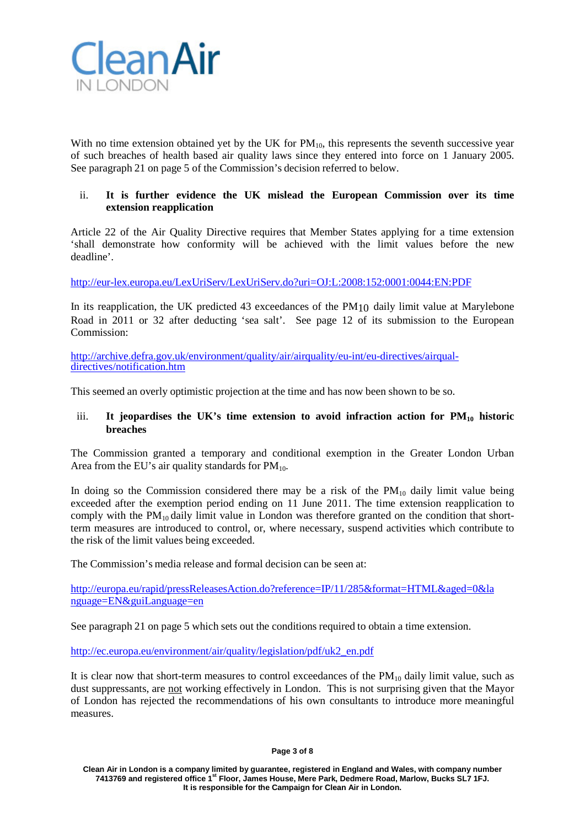

With no time extension obtained yet by the UK for  $PM_{10}$ , this represents the seventh successive year of such breaches of health based air quality laws since they entered into force on 1 January 2005. See paragraph 21 on page 5 of the Commission's decision referred to below.

# ii. **It is further evidence the UK mislead the European Commission over its time extension reapplication**

Article 22 of the Air Quality Directive requires that Member States applying for a time extension 'shall demonstrate how conformity will be achieved with the limit values before the new deadline'.

[http://eur-lex.europa.eu/LexUriServ/LexUriServ.do?uri=OJ:L:2008:152:0001:0044:EN:PDF](http://eur-lex.europa.eu/LexUriServ/LexUriServ.do?uri=OJ%3AL%3A2008%3A152%3A0001%3A0044%3AEN%3APDF)

In its reapplication, the UK predicted 43 exceedances of the PM10 daily limit value at Marylebone Road in 2011 or 32 after deducting 'sea salt'. See page 12 of its submission to the European Commission:

[http://archive.defra.gov.uk/environment/quality/air/airquality/eu-int/eu-directives/airqual-](http://archive.defra.gov.uk/environment/quality/air/airquality/eu-int/eu-directives/airqual-directives/notification.htm) [directives/notification.htm](http://archive.defra.gov.uk/environment/quality/air/airquality/eu-int/eu-directives/airqual-directives/notification.htm)

This seemed an overly optimistic projection at the time and has now been shown to be so.

## iii. It jeopardises the UK's time extension to avoid infraction action for  $PM_{10}$  historic **breaches**

The Commission granted a temporary and conditional exemption in the Greater London Urban Area from the EU's air quality standards for  $PM_{10}$ .

In doing so the Commission considered there may be a risk of the  $PM_{10}$  daily limit value being exceeded after the exemption period ending on 11 June 2011. The time extension reapplication to comply with the  $PM_{10}$  daily limit value in London was therefore granted on the condition that shortterm measures are introduced to control, or, where necessary, suspend activities which contribute to the risk of the limit values being exceeded.

The Commission's media release and formal decision can be seen at:

[http://europa.eu/rapid/pressReleasesAction.do?reference=IP/11/285&format=HTML&aged=0&la](http://europa.eu/rapid/pressReleasesAction.do?reference=IP/11/285&format=HTML&aged=0&la%20nguage=EN&guiLanguage=en) [nguage=EN&guiLanguage=en](http://europa.eu/rapid/pressReleasesAction.do?reference=IP/11/285&format=HTML&aged=0&la%20nguage=EN&guiLanguage=en)

See paragraph 21 on page 5 which sets out the conditions required to obtain a time extension.

[http://ec.europa.eu/environment/air/quality/legislation/pdf/uk2\\_en.pdf](http://ec.europa.eu/environment/air/quality/legislation/pdf/uk2_en.pdf)

It is clear now that short-term measures to control exceedances of the  $PM_{10}$  daily limit value, such as dust suppressants, are not working effectively in London. This is not surprising given that the Mayor of London has rejected the recommendations of his own consultants to introduce more meaningful measures.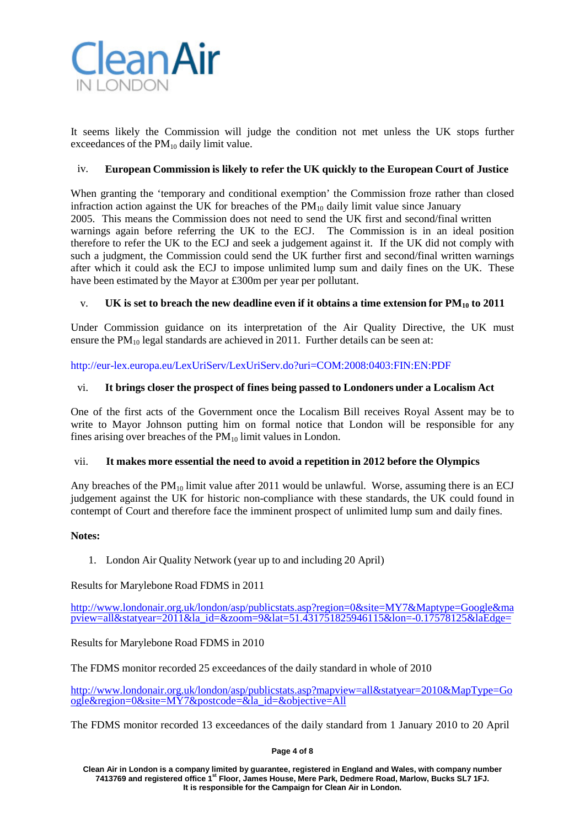

It seems likely the Commission will judge the condition not met unless the UK stops further exceedances of the  $PM_{10}$  daily limit value.

## iv. **European Commission is likely to refer the UK quickly to the European Court of Justice**

When granting the 'temporary and conditional exemption' the Commission froze rather than closed infraction action against the UK for breaches of the  $PM_{10}$  daily limit value since January 2005. This means the Commission does not need to send the UK first and second/final written warnings again before referring the UK to the ECJ. The Commission is in an ideal position therefore to refer the UK to the ECJ and seek a judgement against it. If the UK did not comply with such a judgment, the Commission could send the UK further first and second/final written warnings after which it could ask the ECJ to impose unlimited lump sum and daily fines on the UK. These have been estimated by the Mayor at £300m per year per pollutant.

## v. UK is set to breach the new deadline even if it obtains a time extension for  $PM_{10}$  to 2011

Under Commission guidance on its interpretation of the Air Quality Directive, the UK must ensure the  $PM_{10}$  legal standards are achieved in 2011. Further details can be seen at:

[http://eur-lex.europa.eu/LexUriServ/LexUriServ.do?uri=COM:2008:0403:FIN:EN:PDF](http://eur-lex.europa.eu/LexUriServ/LexUriServ.do?uri=COM%3A2008%3A0403%3AFIN%3AEN%3APDF)

## vi. **It brings closer the prospect of fines being passed to Londoners under a Localism Act**

One of the first acts of the Government once the Localism Bill receives Royal Assent may be to write to Mayor Johnson putting him on formal notice that London will be responsible for any fines arising over breaches of the  $PM_{10}$  limit values in London.

## vii. **It makes more essential the need to avoid a repetition in 2012 before the Olympics**

Any breaches of the  $PM_{10}$  limit value after 2011 would be unlawful. Worse, assuming there is an ECJ judgement against the UK for historic non-compliance with these standards, the UK could found in contempt of Court and therefore face the imminent prospect of unlimited lump sum and daily fines.

## **Notes:**

1. London Air Quality Network (year up to and including 20 April)

Results for Marylebone Road FDMS in 2011

[http://www.londonair.org.uk/london/asp/publicstats.asp?region=0&site=MY7&Maptype=Google&ma](http://www.londonair.org.uk/london/asp/publicstats.asp?region=0&site=MY7&Maptype=Google&mapview=all&statyear=2011&la_id=&zoom=9&lat=51.431751825946115&lon=-0.17578125&laEdge)  $\overline{pview=all\&statvear=2011\&lalala}$  id= $\&zoon=9\⪫=51.431751825946115\&lon=-0.17578125\&laladede$ 

Results for Marylebone Road FDMS in 2010

The FDMS monitor recorded 25 exceedances of the daily standard in whole of 2010

[http://www.londonair.org.uk/london/asp/publicstats.asp?mapview=all&statyear=2010&MapType=Go](http://www.londonair.org.uk/london/asp/publicstats.asp?mapview=all&statyear=2010&MapType=Google®ion=0&site=MY7&postcode=&la_id=&objective=All) [ogle&region=0&site=MY7&postcode=&la\\_id=&objective=All](http://www.londonair.org.uk/london/asp/publicstats.asp?mapview=all&statyear=2010&MapType=Google®ion=0&site=MY7&postcode=&la_id=&objective=All)

The FDMS monitor recorded 13 exceedances of the daily standard from 1 January 2010 to 20 April

**Page 4 of 8**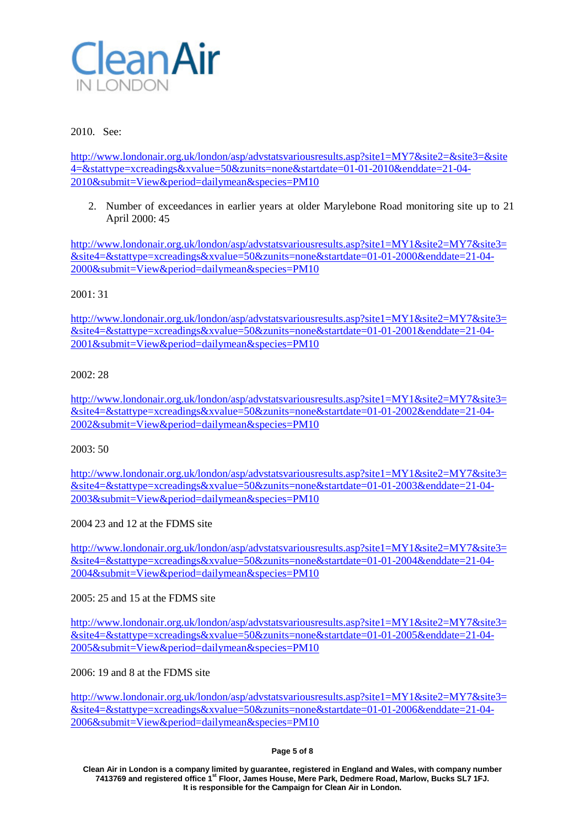

## 2010. See:

<http://www.londonair.org.uk/london/asp/advstatsvariousresults.asp?site1=MY7&site2=&site3=&site> [4=&stattype=xcreadings&xvalue=50&zunits=none&startdate=01-01-2010&enddate=21-04-](http://www.londonair.org.uk/london/asp/advstatsvariousresults.asp?site1=MY7&site2=&site3=&site) [2010&submit=View&period=dailymean&species=PM10](http://www.londonair.org.uk/london/asp/advstatsvariousresults.asp?site1=MY7&site2=&site3=&site)

2. Number of exceedances in earlier years at older Marylebone Road monitoring site up to 21 April 2000: 45

<http://www.londonair.org.uk/london/asp/advstatsvariousresults.asp?site1=MY1&site2=MY7&site3=> [&site4=&stattype=xcreadings&xvalue=50&zunits=none&startdate=01-01-2000&enddate=21-04-](http://www.londonair.org.uk/london/asp/advstatsvariousresults.asp?site1=MY1&site2=MY7&site3=) [2000&submit=View&period=dailymean&species=PM10](http://www.londonair.org.uk/london/asp/advstatsvariousresults.asp?site1=MY1&site2=MY7&site3=)

## 2001: 31

<http://www.londonair.org.uk/london/asp/advstatsvariousresults.asp?site1=MY1&site2=MY7&site3=> [&site4=&stattype=xcreadings&xvalue=50&zunits=none&startdate=01-01-2001&enddate=21-04-](http://www.londonair.org.uk/london/asp/advstatsvariousresults.asp?site1=MY1&site2=MY7&site3=) [2001&submit=View&period=dailymean&species=PM10](http://www.londonair.org.uk/london/asp/advstatsvariousresults.asp?site1=MY1&site2=MY7&site3=)

## 2002: 28

<http://www.londonair.org.uk/london/asp/advstatsvariousresults.asp?site1=MY1&site2=MY7&site3=> [&site4=&stattype=xcreadings&xvalue=50&zunits=none&startdate=01-01-2002&enddate=21-04-](http://www.londonair.org.uk/london/asp/advstatsvariousresults.asp?site1=MY1&site2=MY7&site3=) [2002&submit=View&period=dailymean&species=PM10](http://www.londonair.org.uk/london/asp/advstatsvariousresults.asp?site1=MY1&site2=MY7&site3=)

2003: 50

<http://www.londonair.org.uk/london/asp/advstatsvariousresults.asp?site1=MY1&site2=MY7&site3=> [&site4=&stattype=xcreadings&xvalue=50&zunits=none&startdate=01-01-2003&enddate=21-04-](http://www.londonair.org.uk/london/asp/advstatsvariousresults.asp?site1=MY1&site2=MY7&site3=) [2003&submit=View&period=dailymean&species=PM10](http://www.londonair.org.uk/london/asp/advstatsvariousresults.asp?site1=MY1&site2=MY7&site3=)

2004 23 and 12 at the FDMS site

<http://www.londonair.org.uk/london/asp/advstatsvariousresults.asp?site1=MY1&site2=MY7&site3=> [&site4=&stattype=xcreadings&xvalue=50&zunits=none&startdate=01-01-2004&enddate=21-04-](http://www.londonair.org.uk/london/asp/advstatsvariousresults.asp?site1=MY1&site2=MY7&site3=) [2004&submit=View&period=dailymean&species=PM10](http://www.londonair.org.uk/london/asp/advstatsvariousresults.asp?site1=MY1&site2=MY7&site3=)

 $2005: 25$  and 15 at the FDMS site

<http://www.londonair.org.uk/london/asp/advstatsvariousresults.asp?site1=MY1&site2=MY7&site3=> [&site4=&stattype=xcreadings&xvalue=50&zunits=none&startdate=01-01-2005&enddate=21-04-](http://www.londonair.org.uk/london/asp/advstatsvariousresults.asp?site1=MY1&site2=MY7&site3=) [2005&submit=View&period=dailymean&species=PM10](http://www.londonair.org.uk/london/asp/advstatsvariousresults.asp?site1=MY1&site2=MY7&site3=)

2006: 19 and 8 at the FDMS site

<http://www.londonair.org.uk/london/asp/advstatsvariousresults.asp?site1=MY1&site2=MY7&site3=> [&site4=&stattype=xcreadings&xvalue=50&zunits=none&startdate=01-01-2006&enddate=21-04-](http://www.londonair.org.uk/london/asp/advstatsvariousresults.asp?site1=MY1&site2=MY7&site3=) [2006&submit=View&period=dailymean&species=PM10](http://www.londonair.org.uk/london/asp/advstatsvariousresults.asp?site1=MY1&site2=MY7&site3=)

#### **Page 5 of 8**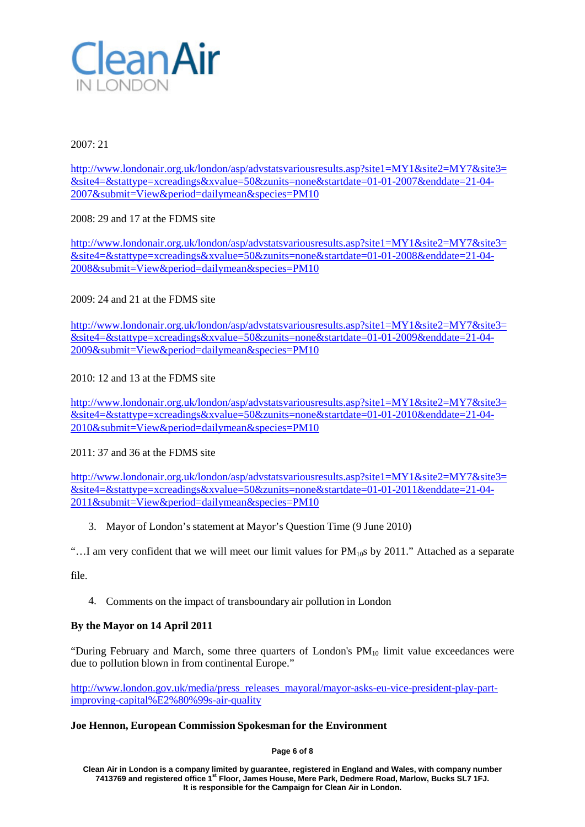

2007: 21

<http://www.londonair.org.uk/london/asp/advstatsvariousresults.asp?site1=MY1&site2=MY7&site3=> [&site4=&stattype=xcreadings&xvalue=50&zunits=none&startdate=01-01-2007&enddate=21-04-](http://www.londonair.org.uk/london/asp/advstatsvariousresults.asp?site1=MY1&site2=MY7&site3=) [2007&submit=View&period=dailymean&species=PM10](http://www.londonair.org.uk/london/asp/advstatsvariousresults.asp?site1=MY1&site2=MY7&site3=)

2008: 29 and 17 at the FDMS site

<http://www.londonair.org.uk/london/asp/advstatsvariousresults.asp?site1=MY1&site2=MY7&site3=> [&site4=&stattype=xcreadings&xvalue=50&zunits=none&startdate=01-01-2008&enddate=21-04-](http://www.londonair.org.uk/london/asp/advstatsvariousresults.asp?site1=MY1&site2=MY7&site3=) [2008&submit=View&period=dailymean&species=PM10](http://www.londonair.org.uk/london/asp/advstatsvariousresults.asp?site1=MY1&site2=MY7&site3=)

2009: 24 and 21 at the FDMS site

<http://www.londonair.org.uk/london/asp/advstatsvariousresults.asp?site1=MY1&site2=MY7&site3=> [&site4=&stattype=xcreadings&xvalue=50&zunits=none&startdate=01-01-2009&enddate=21-04-](http://www.londonair.org.uk/london/asp/advstatsvariousresults.asp?site1=MY1&site2=MY7&site3=) [2009&submit=View&period=dailymean&species=PM10](http://www.londonair.org.uk/london/asp/advstatsvariousresults.asp?site1=MY1&site2=MY7&site3=)

2010: 12 and 13 at the FDMS site

<http://www.londonair.org.uk/london/asp/advstatsvariousresults.asp?site1=MY1&site2=MY7&site3=> [&site4=&stattype=xcreadings&xvalue=50&zunits=none&startdate=01-01-2010&enddate=21-04-](http://www.londonair.org.uk/london/asp/advstatsvariousresults.asp?site1=MY1&site2=MY7&site3=) [2010&submit=View&period=dailymean&species=PM10](http://www.londonair.org.uk/london/asp/advstatsvariousresults.asp?site1=MY1&site2=MY7&site3=)

2011: 37 and 36 at the FDMS site

<http://www.londonair.org.uk/london/asp/advstatsvariousresults.asp?site1=MY1&site2=MY7&site3=> [&site4=&stattype=xcreadings&xvalue=50&zunits=none&startdate=01-01-2011&enddate=21-04-](http://www.londonair.org.uk/london/asp/advstatsvariousresults.asp?site1=MY1&site2=MY7&site3=) [2011&submit=View&period=dailymean&species=PM10](http://www.londonair.org.uk/london/asp/advstatsvariousresults.asp?site1=MY1&site2=MY7&site3=)

3. Mayor of London's statement at Mayor's Question Time (9 June 2010)

"...I am very confident that we will meet our limit values for  $PM_{10}$ s by 2011." Attached as a separate

file.

4. Comments on the impact of transboundary air pollution in London

# **By the Mayor on 14 April 2011**

"During February and March, some three quarters of London's  $PM_{10}$  limit value exceedances were due to pollution blown in from continental Europe."

[http://www.london.gov.uk/media/press\\_releases\\_mayoral/mayor-asks-eu-vice-president-play-part](http://www.london.gov.uk/media/press_releases_mayoral/mayor-asks-eu-vice-president-play-part-)improving-capital%E2%80%99s-air-quality

## **Joe Hennon, European Commission Spokesman for the Environment**

**Page 6 of 8**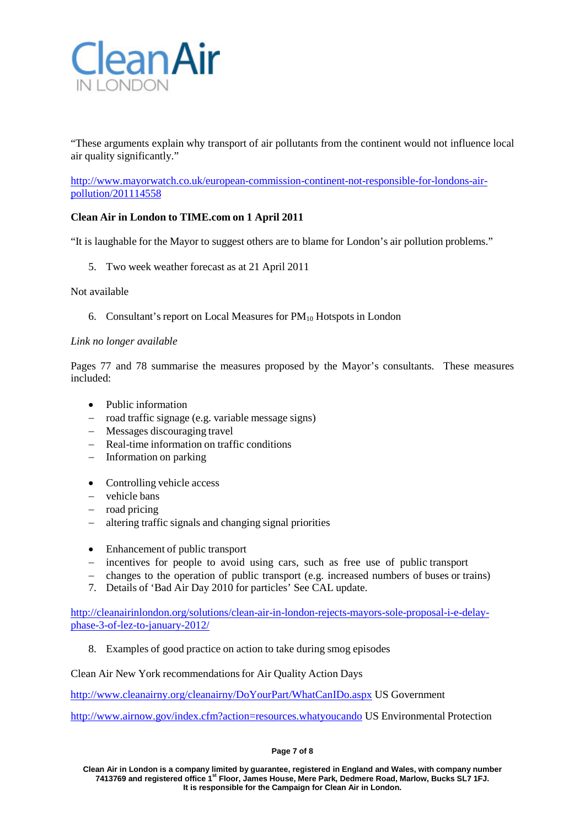

"These arguments explain why transport of air pollutants from the continent would not influence local air quality significantly."

[http://www.mayorwatch.co.uk/european-commission-continent-not-responsible-for-londons-air](http://www.mayorwatch.co.uk/european-commission-continent-not-responsible-for-londons-air-)pollution/201114558

## **Clean Air in London to TIME.com on 1 April 2011**

"It is laughable for the Mayor to suggest others are to blame for London's air pollution problems."

5. Two week weather forecast as at 21 April 2011

Not available

6. Consultant's report on Local Measures for  $PM_{10}$  Hotspots in London

#### *Link no longer available*

Pages 77 and 78 summarise the measures proposed by the Mayor's consultants. These measures included:

- Public information
- − road traffic signage (e.g. variable message signs)
- − Messages discouraging travel
- − Real-time information on traffic conditions
- − Information on parking
- Controlling vehicle access
- − vehicle bans
- − road pricing
- − altering traffic signals and changing signal priorities
- Enhancement of public transport
- − incentives for people to avoid using cars, such as free use of public transport
- − changes to the operation of public transport (e.g. increased numbers of buses or trains)
- 7. Details of 'Bad Air Day 2010 for particles' See CAL update.

[http://cleanairinlondon.org/solutions/clean-air-in-london-rejects-mayors-sole-proposal-i-e-delay](http://cleanairinlondon.org/solutions/clean-air-in-london-rejects-mayors-sole-proposal-i-e-delay-phase-3-of-lez-to-january-2012/)[phase-3-of-lez-to-january-2012/](http://cleanairinlondon.org/solutions/clean-air-in-london-rejects-mayors-sole-proposal-i-e-delay-phase-3-of-lez-to-january-2012/)

8. Examples of good practice on action to take during smog episodes

Clean Air New York recommendationsfor Air Quality Action Days

<http://www.cleanairny.org/cleanairny/DoYourPart/WhatCanIDo.aspx> US Government

<http://www.airnow.gov/index.cfm?action=resources.whatyoucando> US Environmental Protection

#### **Page 7 of 8**